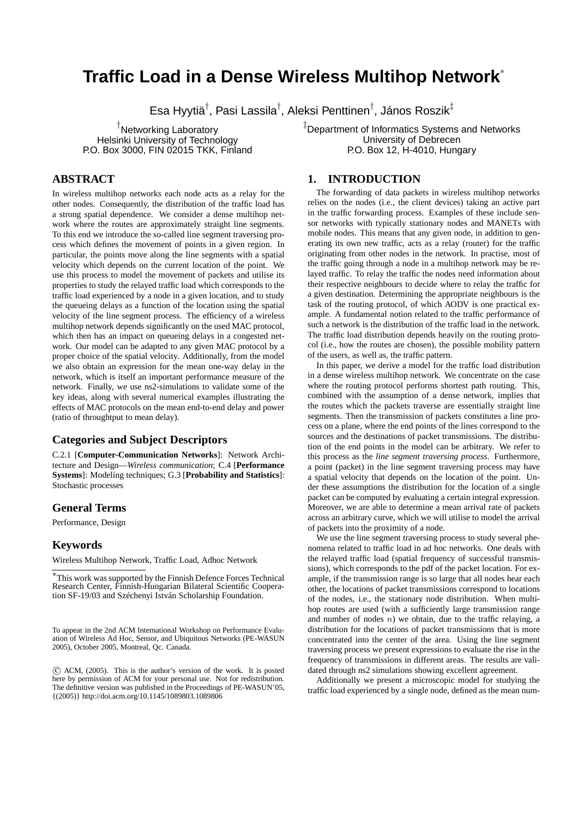# **Traffic Load in a Dense Wireless Multihop Network**<sup>∗</sup>

Esa Hyytiä $^\dagger$ , Pasi Lassila $^\dagger$ , Aleksi Penttinen $^\dagger$ , János Roszik $^\ddagger$ 

† Networking Laboratory Helsinki University of Technology P.O. Box 3000, FIN 02015 TKK, Finland ‡ Department of Informatics Systems and Networks University of Debrecen P.O. Box 12, H-4010, Hungary

# **ABSTRACT**

In wireless multihop networks each node acts as a relay for the other nodes. Consequently, the distribution of the traffic load has a strong spatial dependence. We consider a dense multihop network where the routes are approximately straight line segments. To this end we introduce the so-called line segment traversing process which defines the movement of points in a given region. In particular, the points move along the line segments with a spatial velocity which depends on the current location of the point. We use this process to model the movement of packets and utilise its properties to study the relayed traffic load which corresponds to the traffic load experienced by a node in a given location, and to study the queueing delays as a function of the location using the spatial velocity of the line segment process. The efficiency of a wireless multihop network depends significantly on the used MAC protocol, which then has an impact on queueing delays in a congested network. Our model can be adapted to any given MAC protocol by a proper choice of the spatial velocity. Additionally, from the model we also obtain an expression for the mean one-way delay in the network, which is itself an important performance measure of the network. Finally, we use ns2-simulations to validate some of the key ideas, along with several numerical examples illustrating the effects of MAC protocols on the mean end-to-end delay and power (ratio of throughtput to mean delay).

# **Categories and Subject Descriptors**

C.2.1 [**Computer-Communication Networks**]: Network Architecture and Design—*Wireless communication*; C.4 [**Performance Systems**]: Modeling techniques; G.3 [**Probability and Statistics**]: Stochastic processes

# **General Terms**

Performance, Design

# **Keywords**

Wireless Multihop Network, Traffic Load, Adhoc Network

To appear in the 2nd ACM International Workshop on Performance Evaluation of Wireless Ad Hoc, Sensor, and Ubiquitous Networks (PE-WASUN 2005), October 2005, Montreal, Qc. Canada.

 c ACM, (2005). This is the author's version of the work. It is posted here by permission of ACM for your personal use. Not for redistribution. The definitive version was published in the Proceedings of PE-WASUN'05, {(2005)} http://doi.acm.org/10.1145/1089803.1089806

# **1. INTRODUCTION**

The forwarding of data packets in wireless multihop networks relies on the nodes (i.e., the client devices) taking an active part in the traffic forwarding process. Examples of these include sensor networks with typically stationary nodes and MANETs with mobile nodes. This means that any given node, in addition to generating its own new traffic, acts as a relay (router) for the traffic originating from other nodes in the network. In practise, most of the traffic going through a node in a multihop network may be relayed traffic. To relay the traffic the nodes need information about their respective neighbours to decide where to relay the traffic for a given destination. Determining the appropriate neighbours is the task of the routing protocol, of which AODV is one practical example. A fundamental notion related to the traffic performance of such a network is the distribution of the traffic load in the network. The traffic load distribution depends heavily on the routing protocol (i.e., how the routes are chosen), the possible mobility pattern of the users, as well as, the traffic pattern.

In this paper, we derive a model for the traffic load distribution in a dense wireless multihop network. We concentrate on the case where the routing protocol performs shortest path routing. This, combined with the assumption of a dense network, implies that the routes which the packets traverse are essentially straight line segments. Then the transmission of packets constitutes a line process on a plane, where the end points of the lines correspond to the sources and the destinations of packet transmissions. The distribution of the end points in the model can be arbitrary. We refer to this process as the *line segment traversing process*. Furthermore, a point (packet) in the line segment traversing process may have a spatial velocity that depends on the location of the point. Under these assumptions the distribution for the location of a single packet can be computed by evaluating a certain integral expression. Moreover, we are able to determine a mean arrival rate of packets across an arbitrary curve, which we will utilise to model the arrival of packets into the proximity of a node.

We use the line segment traversing process to study several phenomena related to traffic load in ad hoc networks. One deals with the relayed traffic load (spatial frequency of successful transmissions), which corresponds to the pdf of the packet location. For example, if the transmission range is so large that all nodes hear each other, the locations of packet transmissions correspond to locations of the nodes, i.e., the stationary node distribution. When multihop routes are used (with a sufficiently large transmission range and number of nodes  $n$ ) we obtain, due to the traffic relaying, a distribution for the locations of packet transmissions that is more concentrated into the center of the area. Using the line segment traversing process we present expressions to evaluate the rise in the frequency of transmissions in different areas. The results are validated through ns2 simulations showing excellent agreement.

Additionally we present a microscopic model for studying the traffic load experienced by a single node, defined as the mean num-

<sup>∗</sup>This work was supported by the Finnish Defence Forces Technical Research Center, Finnish-Hungarian Bilateral Scientific Cooperation SF-19/03 and Széchenyi István Scholarship Foundation.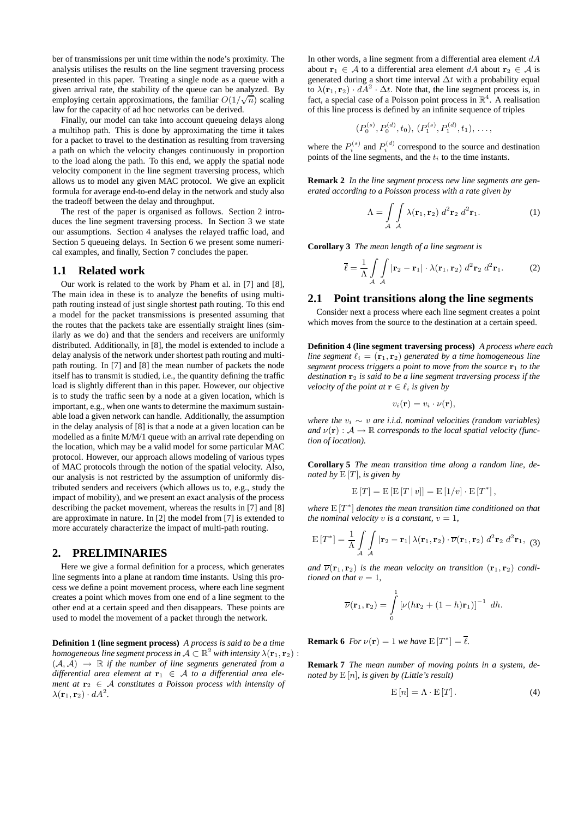ber of transmissions per unit time within the node's proximity. The analysis utilises the results on the line segment traversing process presented in this paper. Treating a single node as a queue with a given arrival rate, the stability of the queue can be analyzed. By given arrivar rate, the stability of the queue can be analyzed. By<br>employing certain approximations, the familiar  $O(1/\sqrt{n})$  scaling law for the capacity of ad hoc networks can be derived.

Finally, our model can take into account queueing delays along a multihop path. This is done by approximating the time it takes for a packet to travel to the destination as resulting from traversing a path on which the velocity changes continuously in proportion to the load along the path. To this end, we apply the spatial node velocity component in the line segment traversing process, which allows us to model any given MAC protocol. We give an explicit formula for average end-to-end delay in the network and study also the tradeoff between the delay and throughput.

The rest of the paper is organised as follows. Section 2 introduces the line segment traversing process. In Section 3 we state our assumptions. Section 4 analyses the relayed traffic load, and Section 5 queueing delays. In Section 6 we present some numerical examples, and finally, Section 7 concludes the paper.

### **1.1 Related work**

Our work is related to the work by Pham et al. in [7] and [8], The main idea in these is to analyze the benefits of using multipath routing instead of just single shortest path routing. To this end a model for the packet transmissions is presented assuming that the routes that the packets take are essentially straight lines (similarly as we do) and that the senders and receivers are uniformly distributed. Additionally, in [8], the model is extended to include a delay analysis of the network under shortest path routing and multipath routing. In [7] and [8] the mean number of packets the node itself has to transmit is studied, i.e., the quantity defining the traffic load is slightly different than in this paper. However, our objective is to study the traffic seen by a node at a given location, which is important, e.g., when one wants to determine the maximum sustainable load a given network can handle. Additionally, the assumption in the delay analysis of [8] is that a node at a given location can be modelled as a finite M/M/1 queue with an arrival rate depending on the location, which may be a valid model for some particular MAC protocol. However, our approach allows modeling of various types of MAC protocols through the notion of the spatial velocity. Also, our analysis is not restricted by the assumption of uniformly distributed senders and receivers (which allows us to, e.g., study the impact of mobility), and we present an exact analysis of the process describing the packet movement, whereas the results in [7] and [8] are approximate in nature. In [2] the model from [7] is extended to more accurately characterize the impact of multi-path routing.

#### **2. PRELIMINARIES**

Here we give a formal definition for a process, which generates line segments into a plane at random time instants. Using this process we define a point movement process, where each line segment creates a point which moves from one end of a line segment to the other end at a certain speed and then disappears. These points are used to model the movement of a packet through the network.

**Definition 1 (line segment process)** *A process is said to be a time homogeneous line segment process in*  $A \subset \mathbb{R}^2$  *with intensity*  $\lambda(\mathbf{r}_1, \mathbf{r}_2)$  :  $(A, A) \rightarrow \mathbb{R}$  *if the number of line segments generated from a*  $differential$  area element at  $\mathbf{r}_1 \in A$  to a differential area ele*ment at*  $\mathbf{r}_2 \in \mathcal{A}$  *constitutes a Poisson process with intensity of*  $\lambda(\mathbf{r}_1, \mathbf{r}_2) \cdot dA^2$ .

In other words, a line segment from a differential area element  $dA$ about **r**<sub>1</sub>  $\in$  A to a differential area element dA about **r**<sub>2</sub>  $\in$  A is generated during a short time interval  $\Delta t$  with a probability equal to  $\lambda(\mathbf{r}_1, \mathbf{r}_2) \cdot dA^2 \cdot \Delta t$ . Note that, the line segment process is, in fact, a special case of a Poisson point process in  $\mathbb{R}^4$ . A realisation of this line process is defined by an infinite sequence of triples

$$
(P_0^{(s)}, P_0^{(d)}, t_0), (P_1^{(s)}, P_1^{(d)}, t_1), \ldots,
$$

where the  $P_i^{(s)}$  and  $P_i^{(d)}$  correspond to the source and destination points of the line segments, and the  $t_i$  to the time instants.

**Remark 2** *In the line segment process new line segments are generated according to a Poisson process with a rate given by*

$$
\Lambda = \int\limits_{\mathcal{A}} \int\limits_{\mathcal{A}} \lambda(\mathbf{r}_1, \mathbf{r}_2) \, d^2 \mathbf{r}_2 \, d^2 \mathbf{r}_1. \tag{1}
$$

**Corollary 3** *The mean length of a line segment is*

$$
\overline{\ell} = \frac{1}{\Lambda} \int\int\limits_{\mathcal{A}} |\mathbf{r}_2 - \mathbf{r}_1| \cdot \lambda(\mathbf{r}_1, \mathbf{r}_2) d^2 \mathbf{r}_2 d^2 \mathbf{r}_1.
$$
 (2)

## **2.1 Point transitions along the line segments**

Consider next a process where each line segment creates a point which moves from the source to the destination at a certain speed.

**Definition 4 (line segment traversing process)** *A process where each line segment*  $\ell_i = (\mathbf{r}_1, \mathbf{r}_2)$  *generated by a time homogeneous line segment process triggers a point to move from the source* **r**<sup>1</sup> *to the destination* **r**<sup>2</sup> *is said to be a line segment traversing process if the velocity of the point at*  $\mathbf{r} \in \ell_i$  *is given by* 

$$
v_i(\mathbf{r}) = v_i \cdot \nu(\mathbf{r}),
$$

*where the*  $v_i \sim v$  *are i.i.d. nominal velocities (random variables) and*  $\nu(\mathbf{r}) : \mathcal{A} \to \mathbb{R}$  *corresponds to the local spatial velocity (function of location).*

**Corollary 5** *The mean transition time along a random line, denoted by* E [T]*, is given by*

$$
E[T] = E[E[T|v]] = E[1/v] \cdot E[T^*],
$$

*where*  $E[T^*]$  *denotes the mean transition time conditioned on that the nominal velocity* v *is a constant*,  $v = 1$ ,

$$
E[T^*] = \frac{1}{\Lambda} \int \int \int \left| \mathbf{r}_2 - \mathbf{r}_1 \right| \lambda(\mathbf{r}_1, \mathbf{r}_2) \cdot \overline{\nu}(\mathbf{r}_1, \mathbf{r}_2) d^2 \mathbf{r}_2 d^2 \mathbf{r}_1, (3)
$$

*and*  $\overline{\nu}(\mathbf{r}_1, \mathbf{r}_2)$  *is the mean velocity on transition*  $(\mathbf{r}_1, \mathbf{r}_2)$  *conditioned on that*  $v = 1$ *,* 

$$
\overline{\nu}(\mathbf{r}_1,\mathbf{r}_2)=\int\limits_0^1\left[\nu(h\mathbf{r}_2+(1-h)\mathbf{r}_1)\right]^{-1} dh.
$$

**Remark 6** *For*  $\nu(\mathbf{r}) = 1$  *we have*  $E[T^*] = \overline{\ell}$ *.* 

**Remark 7** *The mean number of moving points in a system, denoted by* E [n]*, is given by (Little's result)*

$$
E[n] = \Lambda \cdot E[T]. \tag{4}
$$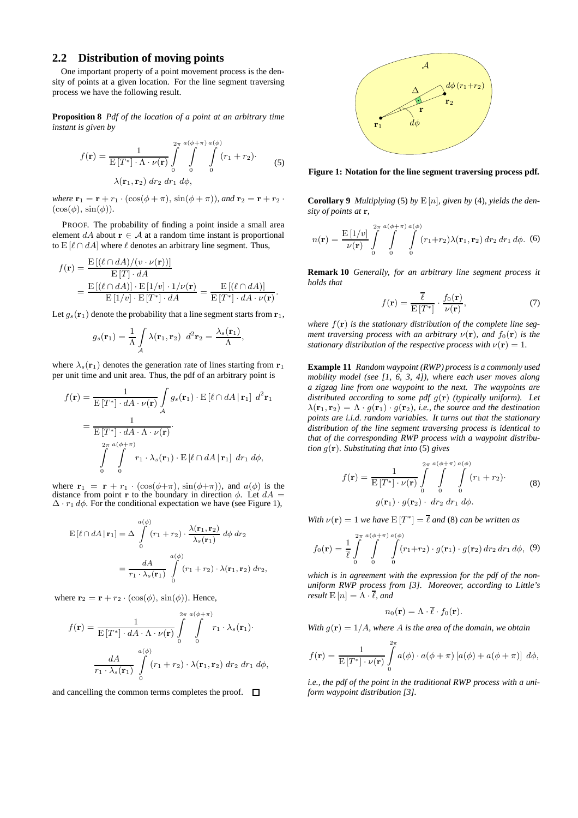# **2.2 Distribution of moving points**

One important property of a point movement process is the density of points at a given location. For the line segment traversing process we have the following result.

**Proposition 8** *Pdf of the location of a point at an arbitrary time instant is given by*

$$
f(\mathbf{r}) = \frac{1}{\mathrm{E}\left[T^*\right] \cdot \Lambda \cdot \nu(\mathbf{r})} \int_{0}^{2\pi} \int_{0}^{a(\phi+\pi)} \int_{0}^{a(\phi)} (r_1 + r_2) \cdot \lambda(\mathbf{r}_1, \mathbf{r}_2) dr_2 dr_1 d\phi,
$$
 (5)

*where*  $\mathbf{r}_1 = \mathbf{r} + r_1 \cdot (\cos(\phi + \pi), \sin(\phi + \pi))$ *, and*  $\mathbf{r}_2 = \mathbf{r} + r_2 \cdot$  $(\cos(\phi), \sin(\phi)).$ 

PROOF. The probability of finding a point inside a small area element  $dA$  about  $\mathbf{r} \in A$  at a random time instant is proportional to  $E[\ell \cap dA]$  where  $\ell$  denotes an arbitrary line segment. Thus,

$$
f(\mathbf{r}) = \frac{\mathrm{E}\left[ (\ell \cap dA) / (v \cdot \nu(\mathbf{r})) \right]}{\mathrm{E}\left[T\right] \cdot dA}
$$
  
= 
$$
\frac{\mathrm{E}\left[ (\ell \cap dA) \right] \cdot \mathrm{E}\left[ 1/v \right] \cdot 1 / \nu(\mathbf{r})}{\mathrm{E}\left[ 1/v \right] \cdot \mathrm{E}\left[ T^* \right] \cdot dA} = \frac{\mathrm{E}\left[ (\ell \cap dA) \right]}{\mathrm{E}\left[ T^* \right] \cdot dA \cdot \nu(\mathbf{r})}.
$$

Let  $g_s(\mathbf{r}_1)$  denote the probability that a line segment starts from  $\mathbf{r}_1$ ,

$$
g_s(\mathbf{r}_1) = \frac{1}{\Lambda} \int_{\mathcal{A}} \lambda(\mathbf{r}_1, \mathbf{r}_2) d^2 \mathbf{r}_2 = \frac{\lambda_s(\mathbf{r}_1)}{\Lambda},
$$

where  $\lambda_s(\mathbf{r}_1)$  denotes the generation rate of lines starting from  $\mathbf{r}_1$ per unit time and unit area. Thus, the pdf of an arbitrary point is

$$
f(\mathbf{r}) = \frac{1}{\mathrm{E}[T^*] \cdot dA \cdot \nu(\mathbf{r})} \int_{\mathcal{A}} g_s(\mathbf{r}_1) \cdot \mathrm{E} [\ell \cap dA \, |\, \mathbf{r}_1] \, d^2 \mathbf{r}_1
$$
  
= 
$$
\frac{1}{\mathrm{E}[T^*] \cdot dA \cdot \Lambda \cdot \nu(\mathbf{r})}
$$
  

$$
\int_{0}^{2\pi} \int_{0}^{a(\phi + \pi)} r_1 \cdot \lambda_s(\mathbf{r}_1) \cdot \mathrm{E} [\ell \cap dA \, |\, \mathbf{r}_1] \, dr_1 \, d\phi,
$$

where  $\mathbf{r}_1 = \mathbf{r} + r_1 \cdot (\cos(\phi + \pi), \sin(\phi + \pi))$ , and  $a(\phi)$  is the distance from point **r** to the boundary in direction  $\phi$ . Let  $dA =$  $Δ · r₁ dφ.$  For the conditional expectation we have (see Figure 1),

$$
\begin{split} \mathbf{E}\left[\ell \cap dA \,|\, \mathbf{r}_1\right] &= \Delta \int\limits_0^{a(\phi)} \left(r_1 + r_2\right) \cdot \frac{\lambda(\mathbf{r}_1, \mathbf{r}_2)}{\lambda_s(\mathbf{r}_1)} \, d\phi \, dr_2 \\ &= \frac{dA}{r_1 \cdot \lambda_s(\mathbf{r}_1)} \int\limits_0^{a(\phi)} \left(r_1 + r_2\right) \cdot \lambda(\mathbf{r}_1, \mathbf{r}_2) \, dr_2, \end{split}
$$

where  $\mathbf{r}_2 = \mathbf{r} + r_2 \cdot (\cos(\phi), \sin(\phi))$ . Hence,

$$
f(\mathbf{r}) = \frac{1}{\mathrm{E}\left[T^*\right] \cdot dA \cdot \Lambda \cdot \nu(\mathbf{r})} \int_{0}^{2\pi} \int_{0}^{a(\phi+\pi)} r_1 \cdot \lambda_s(\mathbf{r}_1) \cdot \frac{dA}{r_1 \cdot \lambda_s(\mathbf{r}_1)} \int_{0}^{a(\phi)} (r_1 + r_2) \cdot \lambda(\mathbf{r}_1, \mathbf{r}_2) \, dr_2 \, dr_1 \, d\phi,
$$

and cancelling the common terms completes the proof.  $\Box$ 



**Figure 1: Notation for the line segment traversing process pdf.**

**Corollary 9** *Multiplying* (5) *by*  $E[n]$ *, given by* (4)*, yields the density of points at* **r***,*

$$
n(\mathbf{r}) = \frac{\mathrm{E}\left[1/v\right]}{\nu(\mathbf{r})} \int\limits_{0}^{2\pi} \int\limits_{0}^{a(\phi+\pi)} \int\limits_{0}^{a(\phi)} (r_1 + r_2) \lambda(\mathbf{r}_1, \mathbf{r}_2) \, dr_2 \, dr_1 \, d\phi. \tag{6}
$$

**Remark 10** *Generally, for an arbitrary line segment process it holds that*

$$
f(\mathbf{r}) = \frac{\overline{\ell}}{\mathrm{E}\left[T^*\right]} \cdot \frac{f_0(\mathbf{r})}{\nu(\mathbf{r})},\tag{7}
$$

where  $f(\mathbf{r})$  *is the stationary distribution of the complete line segment traversing process with an arbitrary*  $\nu(\mathbf{r})$ *, and*  $f_0(\mathbf{r})$  *is the stationary distribution of the respective process with*  $\nu(\mathbf{r})=1$ *.* 

**Example 11** *Random waypoint (RWP) process is a commonly used mobility model (see [1, 6, 3, 4]), where each user moves along a zigzag line from one waypoint to the next. The waypoints are distributed according to some pdf* g(**r**) *(typically uniform). Let*  $\lambda(\mathbf{r}_1, \mathbf{r}_2)=\Lambda \cdot g(\mathbf{r}_1) \cdot g(\mathbf{r}_2)$ *, i.e., the source and the destination points are i.i.d. random variables. It turns out that the stationary distribution of the line segment traversing process is identical to that of the corresponding RWP process with a waypoint distribution* g(**r**)*. Substituting that into* (5) *gives*

$$
f(\mathbf{r}) = \frac{1}{\mathrm{E}\left[T^*\right] \cdot \nu(\mathbf{r})} \int\limits_{0}^{2\pi} \int\limits_{0}^{a(\phi+\pi)} \int\limits_{0}^{a(\phi)} (r_1 + r_2). \tag{8}
$$

$$
g(\mathbf{r}_1) \cdot g(\mathbf{r}_2) \cdot dr_2 \, dr_1 \, d\phi.
$$

*With*  $\nu(\mathbf{r})=1$  *we have*  $E[T^*] = \overline{\ell}$  *and* (8) *can be written as* 

$$
f_0(\mathbf{r}) = \frac{1}{\ell} \int\limits_{0}^{2\pi} \int\limits_{0}^{a(\phi+\pi)} \int\limits_{0}^{a(\phi)} (r_1 + r_2) \cdot g(\mathbf{r}_1) \cdot g(\mathbf{r}_2) \, dr_2 \, dr_1 \, d\phi, \tag{9}
$$

*which is in agreement with the expression for the pdf of the nonuniform RWP process from [3]. Moreover, according to Little's result*  $E[n] = \Lambda \cdot \overline{\ell}$ *, and* 

$$
n_0(\mathbf{r}) = \Lambda \cdot \overline{\ell} \cdot f_0(\mathbf{r}).
$$

*With*  $g(\mathbf{r})=1/A$ *, where* A *is the area of the domain, we obtain* 

$$
f(\mathbf{r}) = \frac{1}{\mathrm{E}\left[T^*\right] \cdot \nu(\mathbf{r})} \int\limits_{0}^{2\pi} a(\phi) \cdot a(\phi + \pi) \left[a(\phi) + a(\phi + \pi)\right] \, d\phi,
$$

*i.e., the pdf of the point in the traditional RWP process with a uniform waypoint distribution [3].*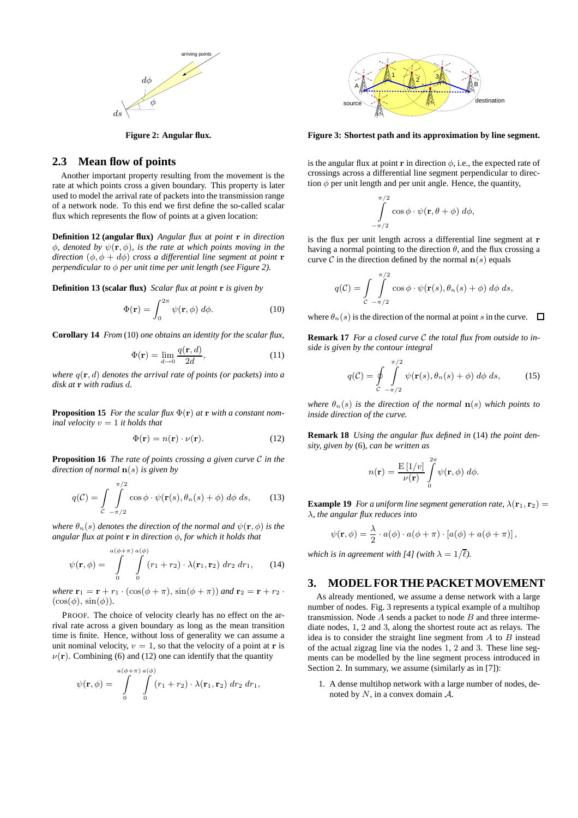

**Figure 2: Angular flux.**

# **2.3 Mean flow of points**

Another important property resulting from the movement is the rate at which points cross a given boundary. This property is later used to model the arrival rate of packets into the transmission range of a network node. To this end we first define the so-called scalar flux which represents the flow of points at a given location:

**Definition 12 (angular flux)** *Angular flux at point* **r** *in direction* φ*, denoted by* ψ(**r**, φ)*, is the rate at which points moving in the direction*  $(\phi, \phi + d\phi)$  *cross a differential line segment at point* **r** *perpendicular to* φ *per unit time per unit length (see Figure 2).*

**Definition 13 (scalar flux)** *Scalar flux at point* **r** *is given by*

$$
\Phi(\mathbf{r}) = \int_0^{2\pi} \psi(\mathbf{r}, \phi) \, d\phi. \tag{10}
$$

**Corollary 14** *From* (10) *one obtains an identity for the scalar flux,*

$$
\Phi(\mathbf{r}) = \lim_{d \to 0} \frac{q(\mathbf{r}, d)}{2d},\tag{11}
$$

*where* q(**r**, d) *denotes the arrival rate of points (or packets) into a disk at* **r** *with radius* d*.*

**Proposition 15** *For the scalar flux*  $\Phi(\mathbf{r})$  *at* **r** *with a constant nominal velocity*  $v = 1$  *it holds that* 

$$
\Phi(\mathbf{r}) = n(\mathbf{r}) \cdot \nu(\mathbf{r}).\tag{12}
$$

**Proposition 16** *The rate of points crossing a given curve* C *in the direction of normal* **n**(s) *is given by*

$$
q(\mathcal{C}) = \int\limits_{\mathcal{C}} \int\limits_{-\pi/2}^{\pi/2} \cos \phi \cdot \psi(\mathbf{r}(s), \theta_n(s) + \phi) \, d\phi \, ds, \tag{13}
$$

*where*  $\theta_n(s)$  *denotes the direction of the normal and*  $\psi(\mathbf{r}, \phi)$  *is the angular flux at point* **r** *in direction* φ*, for which it holds that*

$$
\psi(\mathbf{r},\phi) = \int\limits_{0}^{a(\phi+\pi)} \int\limits_{0}^{a(\phi)} (r_1+r_2) \cdot \lambda(\mathbf{r}_1,\mathbf{r}_2) \, dr_2 \, dr_1,\qquad(14)
$$

*where*  $\mathbf{r}_1 = \mathbf{r} + r_1 \cdot (\cos(\phi + \pi), \sin(\phi + \pi))$  *and*  $\mathbf{r}_2 = \mathbf{r} + r_2 \cdot$  $(\cos(\phi), \sin(\phi)).$ 

PROOF. The choice of velocity clearly has no effect on the arrival rate across a given boundary as long as the mean transition time is finite. Hence, without loss of generality we can assume a unit nominal velocity,  $v = 1$ , so that the velocity of a point at **r** is  $\nu(\mathbf{r})$ . Combining (6) and (12) one can identify that the quantity

$$
\psi(\mathbf{r},\phi) = \int\limits_{0}^{a(\phi+\pi)} \int\limits_{0}^{a(\phi)} (r_1+r_2) \cdot \lambda(\mathbf{r}_1,\mathbf{r}_2) \, dr_2 \, dr_1,
$$



**Figure 3: Shortest path and its approximation by line segment.**

is the angular flux at point **r** in direction  $\phi$ , i.e., the expected rate of crossings across a differential line segment perpendicular to direction  $\phi$  per unit length and per unit angle. Hence, the quantity,

$$
\int_{-\pi/2}^{\pi/2} \cos \phi \cdot \psi(\mathbf{r}, \theta + \phi) d\phi,
$$

is the flux per unit length across a differential line segment at **r** having a normal pointing to the direction  $\theta$ , and the flux crossing a curve  $C$  in the direction defined by the normal  $\mathbf{n}(s)$  equals

$$
q(\mathcal{C}) = \int\limits_{\mathcal{C}} \int\limits_{-\pi/2}^{\pi/2} \cos \phi \cdot \psi(\mathbf{r}(s), \theta_n(s) + \phi) \, d\phi \, ds,
$$

where  $\theta_n(s)$  is the direction of the normal at point s in the curve.  $\Box$ 

**Remark 17** *For a closed curve* C *the total flux from outside to inside is given by the contour integral*

$$
q(\mathcal{C}) = \oint\limits_{\mathcal{C}} \int\limits_{-\pi/2}^{\pi/2} \psi(\mathbf{r}(s), \theta_n(s) + \phi) \, d\phi \, ds, \tag{15}
$$

*where*  $\theta_n(s)$  *is the direction of the normal*  $\mathbf{n}(s)$  *which points to inside direction of the curve.*

**Remark 18** *Using the angular flux defined in* (14) *the point density, given by* (6)*, can be written as*

$$
n(\mathbf{r}) = \frac{\mathrm{E}\left[1/v\right]}{\nu(\mathbf{r})} \int\limits_{0}^{2\pi} \psi(\mathbf{r}, \phi) \, d\phi.
$$

**Example 19** *For a uniform line segment generation rate,*  $\lambda(\mathbf{r}_1, \mathbf{r}_2)$  = λ*, the angular flux reduces into*

$$
\psi(\mathbf{r},\phi) = \frac{\lambda}{2} \cdot a(\phi) \cdot a(\phi + \pi) \cdot [a(\phi) + a(\phi + \pi)],
$$

*which is in agreement with [4] (with*  $\lambda = 1/\overline{\ell}$ ).

#### **3. MODEL FOR THE PACKET MOVEMENT**

As already mentioned, we assume a dense network with a large number of nodes. Fig. 3 represents a typical example of a multihop transmission. Node  $A$  sends a packet to node  $B$  and three intermediate nodes, 1, 2 and 3, along the shortest route act as relays. The idea is to consider the straight line segment from  $A$  to  $B$  instead of the actual zigzag line via the nodes 1, 2 and 3. These line segments can be modelled by the line segment process introduced in Section 2. In summary, we assume (similarly as in [7]):

1. A dense multihop network with a large number of nodes, denoted by  $N$ , in a convex domain  $A$ .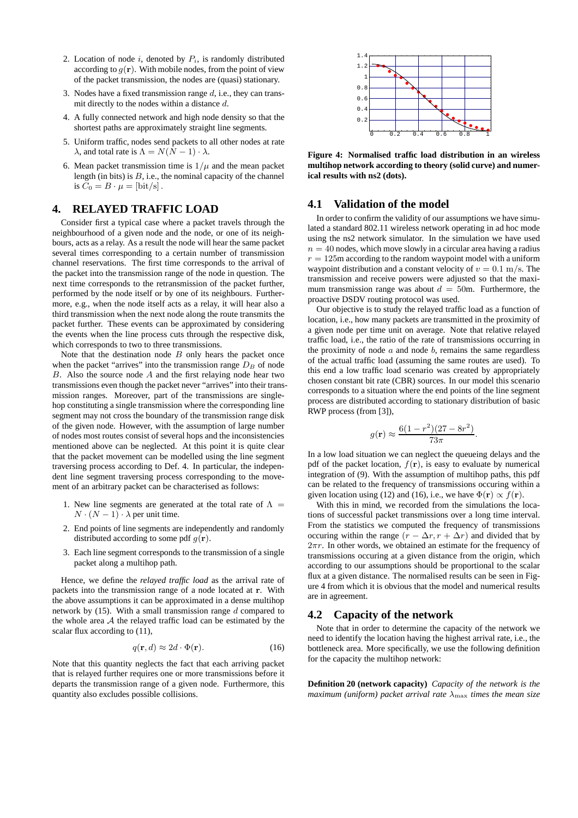- 2. Location of node  $i$ , denoted by  $P_i$ , is randomly distributed according to  $g(\mathbf{r})$ . With mobile nodes, from the point of view of the packet transmission, the nodes are (quasi) stationary.
- 3. Nodes have a fixed transmission range  $d$ , i.e., they can transmit directly to the nodes within a distance d.
- 4. A fully connected network and high node density so that the shortest paths are approximately straight line segments.
- 5. Uniform traffic, nodes send packets to all other nodes at rate  $\lambda$ , and total rate is  $\Lambda = N(N-1) \cdot \lambda$ .
- 6. Mean packet transmission time is  $1/\mu$  and the mean packet length (in bits) is  $B$ , i.e., the nominal capacity of the channel is  $C_0 = B \cdot \mu = [\text{bit/s}]$ .

# **4. RELAYED TRAFFIC LOAD**

Consider first a typical case where a packet travels through the neighbourhood of a given node and the node, or one of its neighbours, acts as a relay. As a result the node will hear the same packet several times corresponding to a certain number of transmission channel reservations. The first time corresponds to the arrival of the packet into the transmission range of the node in question. The next time corresponds to the retransmission of the packet further, performed by the node itself or by one of its neighbours. Furthermore, e.g., when the node itself acts as a relay, it will hear also a third transmission when the next node along the route transmits the packet further. These events can be approximated by considering the events when the line process cuts through the respective disk, which corresponds to two to three transmissions.

Note that the destination node  $B$  only hears the packet once when the packet "arrives" into the transmission range  $D_B$  of node  $B$ . Also the source node  $A$  and the first relaying node hear two transmissions even though the packet never "arrives" into their transmission ranges. Moreover, part of the transmissions are singlehop constituting a single transmission where the corresponding line segment may not cross the boundary of the transmission range disk of the given node. However, with the assumption of large number of nodes most routes consist of several hops and the inconsistencies mentioned above can be neglected. At this point it is quite clear that the packet movement can be modelled using the line segment traversing process according to Def. 4. In particular, the independent line segment traversing process corresponding to the movement of an arbitrary packet can be characterised as follows:

- 1. New line segments are generated at the total rate of  $\Lambda =$  $N \cdot (N-1) \cdot \lambda$  per unit time.
- 2. End points of line segments are independently and randomly distributed according to some pdf  $q(\mathbf{r})$ .
- 3. Each line segment corresponds to the transmission of a single packet along a multihop path.

Hence, we define the *relayed traffic load* as the arrival rate of packets into the transmission range of a node located at **r**. With the above assumptions it can be approximated in a dense multihop network by  $(15)$ . With a small transmission range d compared to the whole area  $A$  the relayed traffic load can be estimated by the scalar flux according to (11),

$$
q(\mathbf{r}, d) \approx 2d \cdot \Phi(\mathbf{r}).\tag{16}
$$

Note that this quantity neglects the fact that each arriving packet that is relayed further requires one or more transmissions before it departs the transmission range of a given node. Furthermore, this quantity also excludes possible collisions.



**Figure 4: Normalised traffic load distribution in an wireless multihop network according to theory (solid curve) and numerical results with ns2 (dots).**

# **4.1 Validation of the model**

In order to confirm the validity of our assumptions we have simulated a standard 802.11 wireless network operating in ad hoc mode using the ns2 network simulator. In the simulation we have used  $n = 40$  nodes, which move slowly in a circular area having a radius  $r = 125$ m according to the random waypoint model with a uniform waypoint distribution and a constant velocity of  $v = 0.1$  m/s. The transmission and receive powers were adjusted so that the maximum transmission range was about  $d = 50$ m. Furthermore, the proactive DSDV routing protocol was used.

Our objective is to study the relayed traffic load as a function of location, i.e., how many packets are transmitted in the proximity of a given node per time unit on average. Note that relative relayed traffic load, i.e., the ratio of the rate of transmissions occurring in the proximity of node  $a$  and node  $b$ , remains the same regardless of the actual traffic load (assuming the same routes are used). To this end a low traffic load scenario was created by appropriately chosen constant bit rate (CBR) sources. In our model this scenario corresponds to a situation where the end points of the line segment process are distributed according to stationary distribution of basic RWP process (from [3]),

$$
g(\mathbf{r}) \approx \frac{6(1 - r^2)(27 - 8r^2)}{73\pi}.
$$

In a low load situation we can neglect the queueing delays and the pdf of the packet location,  $f(\mathbf{r})$ , is easy to evaluate by numerical integration of (9). With the assumption of multihop paths, this pdf can be related to the frequency of transmissions occuring within a given location using (12) and (16), i.e., we have  $\Phi(\mathbf{r}) \propto f(\mathbf{r})$ .

With this in mind, we recorded from the simulations the locations of successful packet transmissions over a long time interval. From the statistics we computed the frequency of transmissions occuring within the range  $(r - \Delta r, r + \Delta r)$  and divided that by  $2\pi r$ . In other words, we obtained an estimate for the frequency of transmissions occuring at a given distance from the origin, which according to our assumptions should be proportional to the scalar flux at a given distance. The normalised results can be seen in Figure 4 from which it is obvious that the model and numerical results are in agreement.

# **4.2 Capacity of the network**

Note that in order to determine the capacity of the network we need to identify the location having the highest arrival rate, i.e., the bottleneck area. More specifically, we use the following definition for the capacity the multihop network:

**Definition 20 (network capacity)** *Capacity of the network is the maximum (uniform) packet arrival rate*  $\lambda_{\text{max}}$  *times the mean size*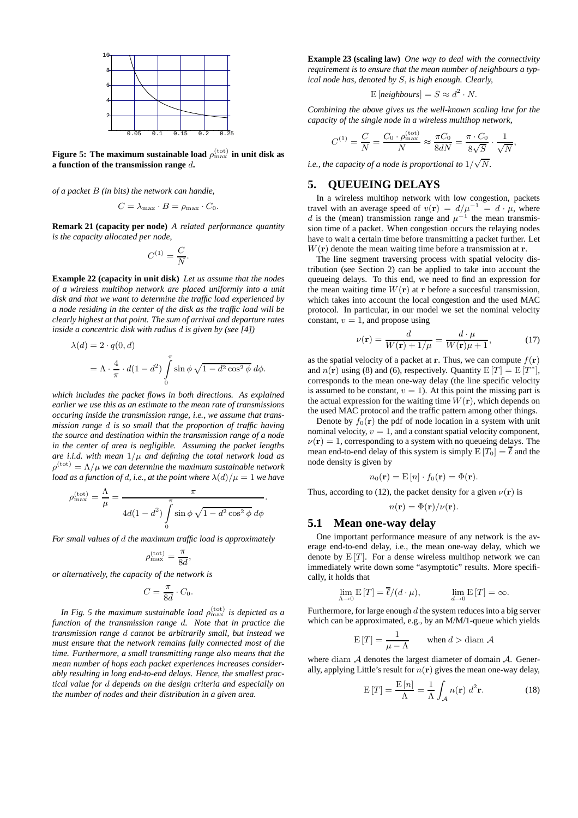

Figure 5: The maximum sustainable load  $\rho_{\rm max}^{\rm (tot)}$  in unit disk as **a function of the transmission range** d**.**

*of a packet* B *(in bits) the network can handle,*

$$
C = \lambda_{\max} \cdot B = \rho_{\max} \cdot C_0.
$$

**Remark 21 (capacity per node)** *A related performance quantity is the capacity allocated per node,*

$$
C^{(1)} = \frac{C}{N}.
$$

**Example 22 (capacity in unit disk)** *Let us assume that the nodes of a wireless multihop network are placed uniformly into a unit disk and that we want to determine the traffic load experienced by a node residing in the center of the disk as the traffic load will be clearly highest at that point. The sum of arrival and departure rates inside a concentric disk with radius* d *is given by (see [4])*

$$
\lambda(d) = 2 \cdot q(0, d)
$$
  
=  $\Lambda \cdot \frac{4}{\pi} \cdot d(1 - d^2) \int_0^{\pi} \sin \phi \sqrt{1 - d^2 \cos^2 \phi} d\phi.$ 

*which includes the packet flows in both directions. As explained earlier we use this as an estimate to the mean rate of transmissions occuring inside the transmission range, i.e., we assume that transmission range* d *is so small that the proportion of traffic having the source and destination within the transmission range of a node in the center of area is negligible. Assuming the packet lengths are i.i.d. with mean*  $1/\mu$  *and defining the total network load as*  $\rho^{\text{(tot)}} = \Lambda/\mu$  *we can determine the maximum sustainable network load as a function of d, i.e., at the point where*  $\lambda(d)/\mu = 1$  *we have* 

$$
\rho_{\max}^{\text{(tot)}} = \frac{\Lambda}{\mu} = \frac{\pi}{4d(1-d^2)\int_{0}^{\pi} \sin\phi\sqrt{1-d^2\cos^2\phi}\,d\phi}.
$$

*For small values of* d *the maximum traffic load is approximately*

$$
\rho_{\max}^{\text{(tot)}} = \frac{\pi}{8d},
$$

*or alternatively, the capacity of the network is*

$$
C = \frac{\pi}{8d} \cdot C_0.
$$

In Fig. 5 the maximum sustainable load  $\rho_{\text{max}}^{\text{(tot)}}$  is depicted as a *function of the transmission range* d*. Note that in practice the transmission range* d *cannot be arbitrarily small, but instead we must ensure that the network remains fully connected most of the time. Furthermore, a small transmitting range also means that the mean number of hops each packet experiences increases considerably resulting in long end-to-end delays. Hence, the smallest practical value for* d *depends on the design criteria and especially on the number of nodes and their distribution in a given area.*

**Example 23 (scaling law)** *One way to deal with the connectivity requirement is to ensure that the mean number of neighbours a typical node has, denoted by* S*, is high enough. Clearly,*

$$
E\left[neighbors\right] = S \approx d^2 \cdot N.
$$

*Combining the above gives us the well-known scaling law for the capacity of the single node in a wireless multihop network,*

$$
C^{(1)} = \frac{C}{N} = \frac{C_0 \cdot \rho_{\text{max}}^{(\text{tot})}}{N} \approx \frac{\pi C_0}{8dN} = \frac{\pi \cdot C_0}{8\sqrt{S}} \cdot \frac{1}{\sqrt{N}},
$$

*i.e., the capacity of a node is proportional to*  $1/\sqrt{N}$ .

# **5. QUEUEING DELAYS**

In a wireless multihop network with low congestion, packets travel with an average speed of  $v(\mathbf{r}) = d/\mu^{-1} = d \cdot \mu$ , where d is the (mean) transmission range and  $\mu^{-1}$  the mean transmission time of a packet. When congestion occurs the relaying nodes have to wait a certain time before transmitting a packet further. Let  $W(\mathbf{r})$  denote the mean waiting time before a transmission at **r**.

The line segment traversing process with spatial velocity distribution (see Section 2) can be applied to take into account the queueing delays. To this end, we need to find an expression for the mean waiting time  $W(\mathbf{r})$  at **r** before a succesful transmission, which takes into account the local congestion and the used MAC protocol. In particular, in our model we set the nominal velocity constant,  $v = 1$ , and propose using

$$
\nu(\mathbf{r}) = \frac{d}{W(\mathbf{r}) + 1/\mu} = \frac{d \cdot \mu}{W(\mathbf{r})\mu + 1},\tag{17}
$$

as the spatial velocity of a packet at **r**. Thus, we can compute  $f(\mathbf{r})$ and  $n(\mathbf{r})$  using (8) and (6), respectively. Quantity  $E[T] = E[T^*]$ , corresponds to the mean one-way delay (the line specific velocity is assumed to be constant,  $v = 1$ ). At this point the missing part is the actual expression for the waiting time  $W(\mathbf{r})$ , which depends on the used MAC protocol and the traffic pattern among other things.

Denote by  $f_0(\mathbf{r})$  the pdf of node location in a system with unit nominal velocity,  $v = 1$ , and a constant spatial velocity component,  $\nu(\mathbf{r})=1$ , corresponding to a system with no queueing delays. The mean end-to-end delay of this system is simply  $E[T_0] = \overline{\ell}$  and the node density is given by

$$
n_0(\mathbf{r}) = \mathbf{E}[n] \cdot f_0(\mathbf{r}) = \Phi(\mathbf{r}).
$$

Thus, according to (12), the packet density for a given  $\nu(\mathbf{r})$  is

$$
n(\mathbf{r}) = \Phi(\mathbf{r})/\nu(\mathbf{r}).
$$

#### **5.1 Mean one-way delay**

One important performance measure of any network is the average end-to-end delay, i.e., the mean one-way delay, which we denote by  $E[T]$ . For a dense wireless multihop network we can immediately write down some "asymptotic" results. More specifically, it holds that

$$
\lim_{\Lambda \to 0} \mathbf{E}[T] = \overline{\ell}/(d \cdot \mu), \qquad \lim_{d \to 0} \mathbf{E}[T] = \infty.
$$

Furthermore, for large enough  $d$  the system reduces into a big server which can be approximated, e.g., by an M/M/1-queue which yields

$$
E[T] = \frac{1}{\mu - \Lambda} \quad \text{when } d > \text{diam } A
$$

where diam  $A$  denotes the largest diameter of domain  $A$ . Generally, applying Little's result for  $n(r)$  gives the mean one-way delay,

$$
E[T] = \frac{E[n]}{\Lambda} = \frac{1}{\Lambda} \int_{\mathcal{A}} n(\mathbf{r}) d^2 \mathbf{r}.
$$
 (18)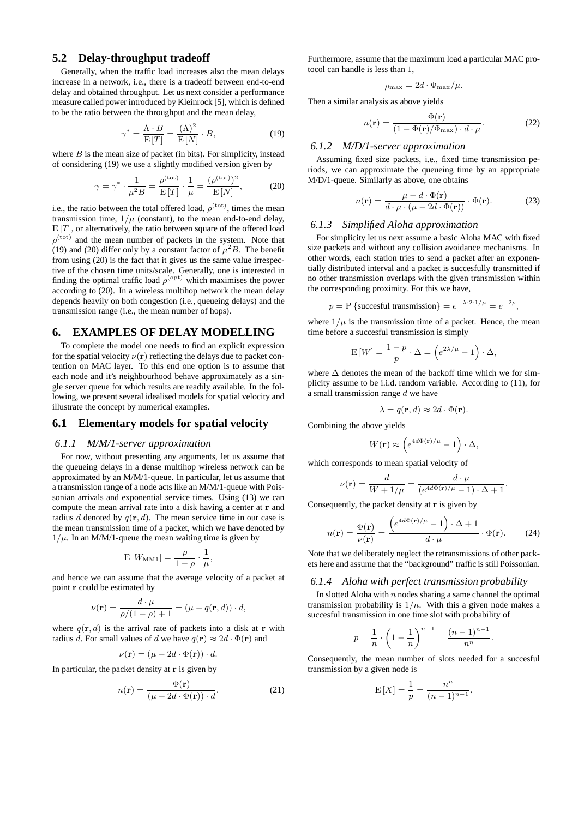# **5.2 Delay-throughput tradeoff**

Generally, when the traffic load increases also the mean delays increase in a network, i.e., there is a tradeoff between end-to-end delay and obtained throughput. Let us next consider a performance measure called power introduced by Kleinrock [5], which is defined to be the ratio between the throughput and the mean delay,

$$
\gamma^* = \frac{\Lambda \cdot B}{\mathcal{E}[T]} = \frac{(\Lambda)^2}{\mathcal{E}[N]} \cdot B,\tag{19}
$$

where  $B$  is the mean size of packet (in bits). For simplicity, instead of considering (19) we use a slightly modified version given by

$$
\gamma = \gamma^* \cdot \frac{1}{\mu^2 B} = \frac{\rho^{\text{(tot)}}}{\mathrm{E}[T]} \cdot \frac{1}{\mu} = \frac{(\rho^{\text{(tot)}})^2}{\mathrm{E}[N]},\tag{20}
$$

i.e., the ratio between the total offered load,  $\rho^{\text{(tot)}}$ , times the mean transmission time,  $1/\mu$  (constant), to the mean end-to-end delay,  $E[T]$ , or alternatively, the ratio between square of the offered load  $\rho^{(\text{tot})}$  and the mean number of packets in the system. Note that (19) and (20) differ only by a constant factor of  $\mu^2 B$ . The benefit from using (20) is the fact that it gives us the same value irrespective of the chosen time units/scale. Generally, one is interested in finding the optimal traffic load  $\rho^{\text{(opt)}}$  which maximises the power according to (20). In a wireless multihop network the mean delay depends heavily on both congestion (i.e., queueing delays) and the transmission range (i.e., the mean number of hops).

# **6. EXAMPLES OF DELAY MODELLING**

To complete the model one needs to find an explicit expression for the spatial velocity  $\nu(\mathbf{r})$  reflecting the delays due to packet contention on MAC layer. To this end one option is to assume that each node and it's neighbourhood behave approximately as a single server queue for which results are readily available. In the following, we present several idealised models for spatial velocity and illustrate the concept by numerical examples.

# **6.1 Elementary models for spatial velocity**

#### *6.1.1 M/M/1-server approximation*

For now, without presenting any arguments, let us assume that the queueing delays in a dense multihop wireless network can be approximated by an M/M/1-queue. In particular, let us assume that a transmission range of a node acts like an M/M/1-queue with Poissonian arrivals and exponential service times. Using (13) we can compute the mean arrival rate into a disk having a center at **r** and radius d denoted by  $q(\mathbf{r}, d)$ . The mean service time in our case is the mean transmission time of a packet, which we have denoted by  $1/\mu$ . In an M/M/1-queue the mean waiting time is given by

$$
E[W_{MM1}] = \frac{\rho}{1-\rho} \cdot \frac{1}{\mu},
$$

and hence we can assume that the average velocity of a packet at point **r** could be estimated by

$$
\nu(\mathbf{r}) = \frac{d \cdot \mu}{\rho/(1 - \rho) + 1} = (\mu - q(\mathbf{r}, d)) \cdot d,
$$

where  $q(\mathbf{r}, d)$  is the arrival rate of packets into a disk at **r** with radius d. For small values of d we have  $q(\mathbf{r}) \approx 2d \cdot \Phi(\mathbf{r})$  and

$$
\nu(\mathbf{r}) = (\mu - 2d \cdot \Phi(\mathbf{r})) \cdot d.
$$

In particular, the packet density at **r** is given by

$$
n(\mathbf{r}) = \frac{\Phi(\mathbf{r})}{(\mu - 2d \cdot \Phi(\mathbf{r})) \cdot d}.
$$
 (21)

Furthermore, assume that the maximum load a particular MAC protocol can handle is less than 1,

$$
\rho_{\text{max}} = 2d \cdot \Phi_{\text{max}}/\mu.
$$

Then a similar analysis as above yields

$$
n(\mathbf{r}) = \frac{\Phi(\mathbf{r})}{(1 - \Phi(\mathbf{r})/\Phi_{\text{max}}) \cdot d \cdot \mu}.
$$
 (22)

#### *6.1.2 M/D/1-server approximation*

Assuming fixed size packets, i.e., fixed time transmission periods, we can approximate the queueing time by an appropriate M/D/1-queue. Similarly as above, one obtains

$$
n(\mathbf{r}) = \frac{\mu - d \cdot \Phi(\mathbf{r})}{d \cdot \mu \cdot (\mu - 2d \cdot \Phi(\mathbf{r}))} \cdot \Phi(\mathbf{r}).
$$
 (23)

#### *6.1.3 Simplified Aloha approximation*

For simplicity let us next assume a basic Aloha MAC with fixed size packets and without any collision avoidance mechanisms. In other words, each station tries to send a packet after an exponentially distributed interval and a packet is succesfully transmitted if no other transmission overlaps with the given transmission within the corresponding proximity. For this we have,

$$
p = P
$$
 {successful transmission} =  $e^{-\lambda \cdot 2 \cdot 1/\mu} = e^{-2\rho}$ ,

where  $1/\mu$  is the transmission time of a packet. Hence, the mean time before a succesful transmission is simply

$$
E[W] = \frac{1-p}{p} \cdot \Delta = \left(e^{2\lambda/\mu} - 1\right) \cdot \Delta,
$$

where  $\Delta$  denotes the mean of the backoff time which we for simplicity assume to be i.i.d. random variable. According to (11), for a small transmission range  $d$  we have

$$
\lambda = q(\mathbf{r}, d) \approx 2d \cdot \Phi(\mathbf{r}).
$$

Combining the above yields

$$
W(\mathbf{r}) \approx \left(e^{4d\Phi(\mathbf{r})/\mu} - 1\right) \cdot \Delta,
$$

which corresponds to mean spatial velocity of

$$
\nu(\mathbf{r}) = \frac{d}{W + 1/\mu} = \frac{d \cdot \mu}{(e^{4d\Phi(\mathbf{r})/\mu} - 1) \cdot \Delta + 1}.
$$

Consequently, the packet density at **r** is given by

$$
n(\mathbf{r}) = \frac{\Phi(\mathbf{r})}{\nu(\mathbf{r})} = \frac{\left(e^{4d\Phi(\mathbf{r})/\mu} - 1\right) \cdot \Delta + 1}{d \cdot \mu} \cdot \Phi(\mathbf{r}).\tag{24}
$$

Note that we deliberately neglect the retransmissions of other packets here and assume that the "background" traffic is still Poissonian.

#### *6.1.4 Aloha with perfect transmission probability*

In slotted Aloha with  $n$  nodes sharing a same channel the optimal transmission probability is  $1/n$ . With this a given node makes a succesful transmission in one time slot with probability of

$$
p = \frac{1}{n} \cdot \left(1 - \frac{1}{n}\right)^{n-1} = \frac{(n-1)^{n-1}}{n^n}.
$$

Consequently, the mean number of slots needed for a succesful transmission by a given node is

$$
E[X] = \frac{1}{p} = \frac{n^n}{(n-1)^{n-1}},
$$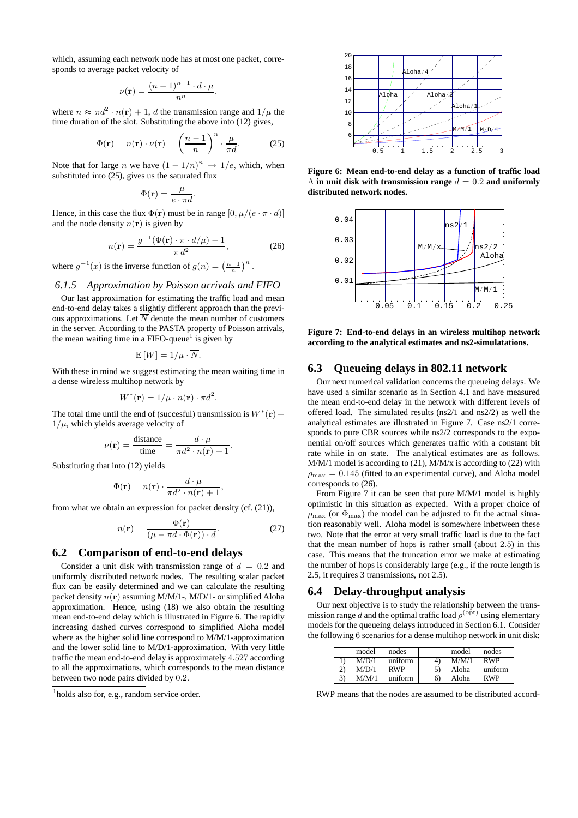which, assuming each network node has at most one packet, corresponds to average packet velocity of

$$
\nu(\mathbf{r}) = \frac{(n-1)^{n-1} \cdot d \cdot \mu}{n^n},
$$

where  $n \approx \pi d^2 \cdot n(\mathbf{r}) + 1$ , d the transmission range and  $1/\mu$  the time duration of the slot. Substituting the above into (12) gives,

$$
\Phi(\mathbf{r}) = n(\mathbf{r}) \cdot \nu(\mathbf{r}) = \left(\frac{n-1}{n}\right)^n \cdot \frac{\mu}{\pi d}.
$$
 (25)

Note that for large *n* we have  $(1 - 1/n)^n \rightarrow 1/e$ , which, when substituted into (25), gives us the saturated flux

$$
\Phi(\mathbf{r}) = \frac{\mu}{e \cdot \pi d}.
$$

Hence, in this case the flux  $\Phi(\mathbf{r})$  must be in range  $[0, \mu/(e \cdot \pi \cdot d)]$ and the node density  $n(\mathbf{r})$  is given by

$$
n(\mathbf{r}) = \frac{g^{-1}(\Phi(\mathbf{r}) \cdot \pi \cdot d/\mu) - 1}{\pi d^2},\tag{26}
$$

where  $g^{-1}(x)$  is the inverse function of  $g(n) = \left(\frac{n-1}{n}\right)^n$ .

# *6.1.5 Approximation by Poisson arrivals and FIFO*

Our last approximation for estimating the traffic load and mean end-to-end delay takes a slightly different approach than the previous approximations. Let  $\overline{N}$  denote the mean number of customers in the server. According to the PASTA property of Poisson arrivals, the mean waiting time in a  $FIFO$ -queue<sup>1</sup> is given by

$$
E[W] = 1/\mu \cdot \overline{N}.
$$

With these in mind we suggest estimating the mean waiting time in a dense wireless multihop network by

$$
W^*(\mathbf{r}) = 1/\mu \cdot n(\mathbf{r}) \cdot \pi d^2.
$$

The total time until the end of (succesful) transmission is  $W^*(\mathbf{r})$  +  $1/\mu$ , which yields average velocity of

$$
\nu(\mathbf{r}) = \frac{\text{distance}}{\text{time}} = \frac{d \cdot \mu}{\pi d^2 \cdot n(\mathbf{r}) + 1}.
$$

Substituting that into (12) yields

$$
\Phi(\mathbf{r}) = n(\mathbf{r}) \cdot \frac{d \cdot \mu}{\pi d^2 \cdot n(\mathbf{r}) + 1},
$$

from what we obtain an expression for packet density (cf. (21)),

$$
n(\mathbf{r}) = \frac{\Phi(\mathbf{r})}{(\mu - \pi d \cdot \Phi(\mathbf{r})) \cdot d}.
$$
 (27)

# **6.2 Comparison of end-to-end delays**

Consider a unit disk with transmission range of  $d = 0.2$  and uniformly distributed network nodes. The resulting scalar packet flux can be easily determined and we can calculate the resulting packet density n(**r**) assuming M/M/1-, M/D/1- or simplified Aloha approximation. Hence, using (18) we also obtain the resulting mean end-to-end delay which is illustrated in Figure 6. The rapidly increasing dashed curves correspond to simplified Aloha model where as the higher solid line correspond to M/M/1-approximation and the lower solid line to M/D/1-approximation. With very little traffic the mean end-to-end delay is approximately 4.527 according to all the approximations, which corresponds to the mean distance between two node pairs divided by 0.2.



**Figure 6: Mean end-to-end delay as a function of traffic load**  $\Lambda$  in unit disk with transmission range  $d = 0.2$  and uniformly **distributed network nodes.**



**Figure 7: End-to-end delays in an wireless multihop network according to the analytical estimates and ns2-simulatations.**

# **6.3 Queueing delays in 802.11 network**

Our next numerical validation concerns the queueing delays. We have used a similar scenario as in Section 4.1 and have measured the mean end-to-end delay in the network with different levels of offered load. The simulated results (ns2/1 and ns2/2) as well the analytical estimates are illustrated in Figure 7. Case ns2/1 corresponds to pure CBR sources while ns2/2 corresponds to the exponential on/off sources which generates traffic with a constant bit rate while in on state. The analytical estimates are as follows.  $M/M/1$  model is according to (21),  $M/M/x$  is according to (22) with  $\rho_{\text{max}} = 0.145$  (fitted to an experimental curve), and Aloha model corresponds to (26).

From Figure 7 it can be seen that pure M/M/1 model is highly optimistic in this situation as expected. With a proper choice of  $\rho_{\text{max}}$  (or  $\Phi_{\text{max}}$ ) the model can be adjusted to fit the actual situation reasonably well. Aloha model is somewhere inbetween these two. Note that the error at very small traffic load is due to the fact that the mean number of hops is rather small (about 2.5) in this case. This means that the truncation error we make at estimating the number of hops is considerably large (e.g., if the route length is 2.5, it requires 3 transmissions, not 2.5).

# **6.4 Delay-throughput analysis**

Our next objective is to study the relationship between the transmission range d and the optimal traffic load  $\rho^{(\text{opt})}$  using elementary models for the queueing delays introduced in Section 6.1. Consider the following 6 scenarios for a dense multihop network in unit disk:

|    | model | nodes      |    | model | nodes      |
|----|-------|------------|----|-------|------------|
|    | M/D/1 | uniform    | 4) | M/M/1 | <b>RWP</b> |
| 2) | M/D/1 | <b>RWP</b> | 5) | Aloha | uniform    |
| 3) | M/M/1 | uniform    | 6) | Aloha | <b>RWP</b> |

RWP means that the nodes are assumed to be distributed accord-

<sup>&</sup>lt;sup>1</sup>holds also for, e.g., random service order.